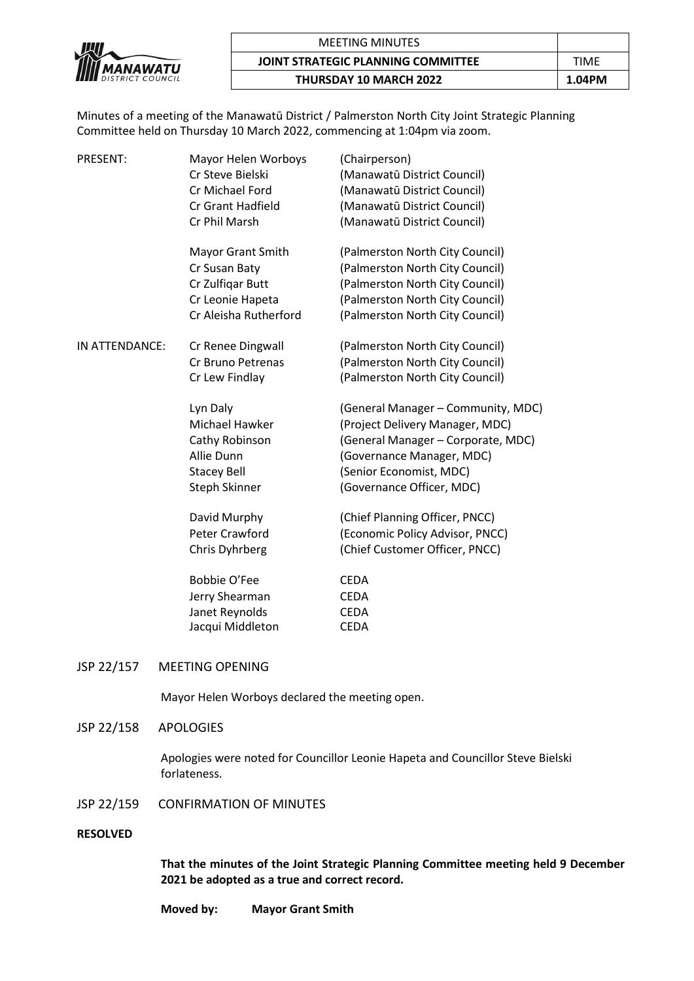|  | MANAWATU |
|--|----------|
|  |          |

Minutes of a meeting of the Manawatū District / Palmerston North City Joint Strategic Planning Committee held on Thursday 10 March 2022, commencing at 1:04pm via zoom.

| PRESENT:       | Mayor Helen Worboys<br>Cr Steve Bielski | (Chairperson)<br>(Manawatū District Council) |
|----------------|-----------------------------------------|----------------------------------------------|
|                |                                         |                                              |
|                | Cr Michael Ford                         | (Manawatū District Council)                  |
|                | Cr Grant Hadfield                       | (Manawatū District Council)                  |
|                | Cr Phil Marsh                           | (Manawatū District Council)                  |
|                | Mayor Grant Smith                       | (Palmerston North City Council)              |
|                | Cr Susan Baty                           | (Palmerston North City Council)              |
|                | Cr Zulfiqar Butt                        | (Palmerston North City Council)              |
|                | Cr Leonie Hapeta                        | (Palmerston North City Council)              |
|                | Cr Aleisha Rutherford                   | (Palmerston North City Council)              |
| IN ATTENDANCE: | Cr Renee Dingwall                       | (Palmerston North City Council)              |
|                | Cr Bruno Petrenas                       | (Palmerston North City Council)              |
|                | Cr Lew Findlay                          | (Palmerston North City Council)              |
|                | Lyn Daly                                | (General Manager – Community, MDC)           |
|                | Michael Hawker                          | (Project Delivery Manager, MDC)              |
|                | Cathy Robinson                          | (General Manager - Corporate, MDC)           |
|                | Allie Dunn                              | (Governance Manager, MDC)                    |
|                | <b>Stacey Bell</b>                      | (Senior Economist, MDC)                      |
|                | <b>Steph Skinner</b>                    | (Governance Officer, MDC)                    |
|                | David Murphy                            | (Chief Planning Officer, PNCC)               |
|                | Peter Crawford                          | (Economic Policy Advisor, PNCC)              |
|                | Chris Dyhrberg                          | (Chief Customer Officer, PNCC)               |
|                | Bobbie O'Fee                            | <b>CEDA</b>                                  |
|                | Jerry Shearman                          | <b>CEDA</b>                                  |
|                | Janet Reynolds                          | <b>CEDA</b>                                  |
|                | Jacqui Middleton                        | <b>CEDA</b>                                  |
|                |                                         |                                              |

## JSP 22/157 MEETING OPENING

Mayor Helen Worboys declared the meeting open.

JSP 22/158 APOLOGIES

Apologies were noted for Councillor Leonie Hapeta and Councillor Steve Bielski forlateness.

JSP 22/159 CONFIRMATION OF MINUTES

## **RESOLVED**

**That the minutes of the Joint Strategic Planning Committee meeting held 9 December 2021 be adopted as a true and correct record.**

**Moved by: Mayor Grant Smith**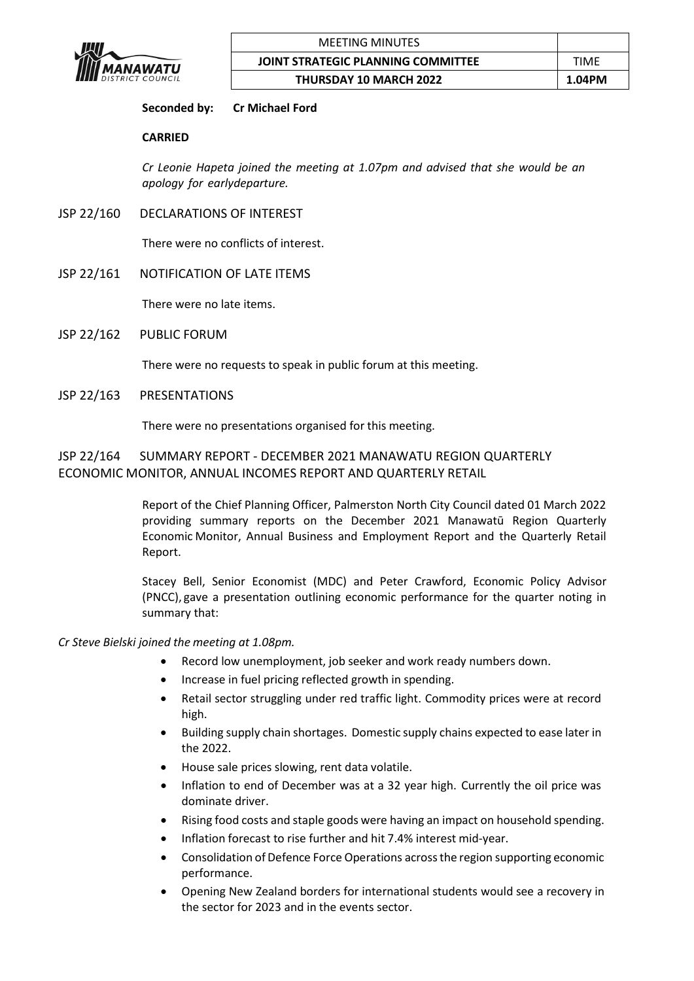

### **Seconded by: Cr Michael Ford**

## **CARRIED**

*Cr Leonie Hapeta joined the meeting at 1.07pm and advised that she would be an apology for earlydeparture.*

JSP 22/160 DECLARATIONS OF INTEREST

There were no conflicts of interest.

JSP 22/161 NOTIFICATION OF LATE ITEMS

There were no late items.

JSP 22/162 PUBLIC FORUM

There were no requests to speak in public forum at this meeting.

JSP 22/163 PRESENTATIONS

There were no presentations organised for this meeting.

# JSP 22/164 SUMMARY REPORT - DECEMBER 2021 MANAWATU REGION QUARTERLY ECONOMIC MONITOR, ANNUAL INCOMES REPORT AND QUARTERLY RETAIL

Report of the Chief Planning Officer, Palmerston North City Council dated 01 March 2022 providing summary reports on the December 2021 Manawatū Region Quarterly Economic Monitor, Annual Business and Employment Report and the Quarterly Retail Report.

Stacey Bell, Senior Economist (MDC) and Peter Crawford, Economic Policy Advisor (PNCC), gave a presentation outlining economic performance for the quarter noting in summary that:

## *Cr Steve Bielski joined the meeting at 1.08pm.*

- Record low unemployment, job seeker and work ready numbers down.
- Increase in fuel pricing reflected growth in spending.
- Retail sector struggling under red traffic light. Commodity prices were at record high.
- Building supply chain shortages. Domestic supply chains expected to ease later in the 2022.
- House sale prices slowing, rent data volatile.
- Inflation to end of December was at a 32 year high. Currently the oil price was dominate driver.
- Rising food costs and staple goods were having an impact on household spending.
- Inflation forecast to rise further and hit 7.4% interest mid-year.
- Consolidation of Defence Force Operations acrossthe region supporting economic performance.
- Opening New Zealand borders for international students would see a recovery in the sector for 2023 and in the events sector.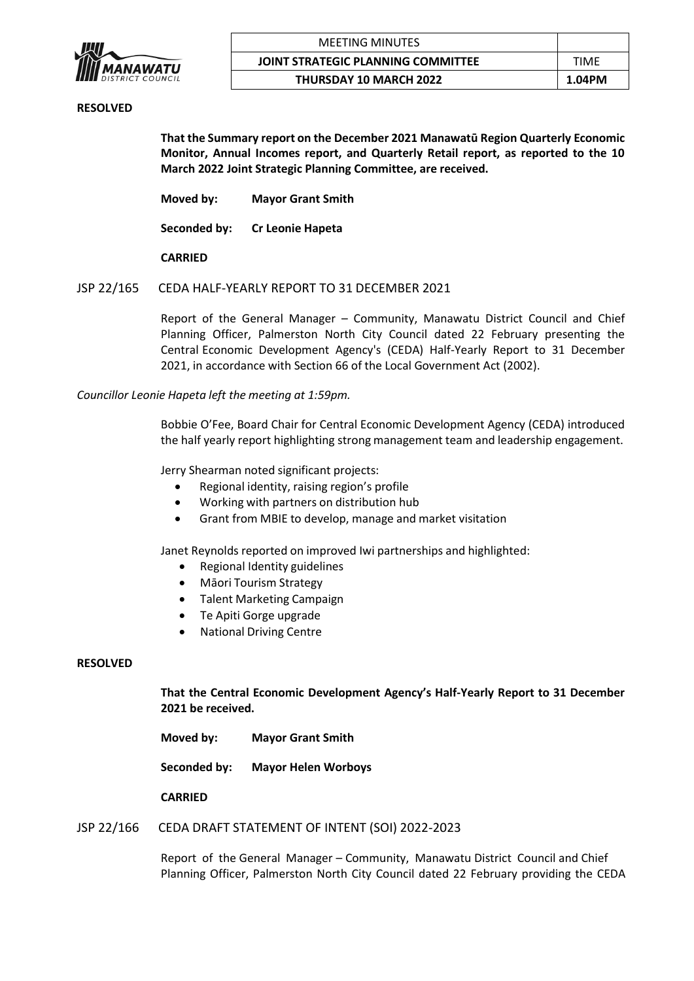

## **RESOLVED**

**That the Summary report on the December 2021 Manawatū Region Quarterly Economic Monitor, Annual Incomes report, and Quarterly Retail report, as reported to the 10 March 2022 Joint Strategic Planning Committee, are received.**

**Moved by: Mayor Grant Smith**

**Seconded by: Cr Leonie Hapeta**

#### **CARRIED**

### JSP 22/165 CEDA HALF-YEARLY REPORT TO 31 DECEMBER 2021

Report of the General Manager – Community, Manawatu District Council and Chief Planning Officer, Palmerston North City Council dated 22 February presenting the Central Economic Development Agency's (CEDA) Half-Yearly Report to 31 December 2021, in accordance with Section 66 of the Local Government Act (2002).

*Councillor Leonie Hapeta left the meeting at 1:59pm.*

Bobbie O'Fee, Board Chair for Central Economic Development Agency (CEDA) introduced the half yearly report highlighting strong management team and leadership engagement.

Jerry Shearman noted significant projects:

- Regional identity, raising region's profile
- Working with partners on distribution hub
- Grant from MBIE to develop, manage and market visitation

Janet Reynolds reported on improved Iwi partnerships and highlighted:

- Regional Identity guidelines
- Māori Tourism Strategy
- Talent Marketing Campaign
- Te Apiti Gorge upgrade
- National Driving Centre

#### **RESOLVED**

**That the Central Economic Development Agency's Half-Yearly Report to 31 December 2021 be received.**

**Moved by: Mayor Grant Smith**

**Seconded by: Mayor Helen Worboys**

#### **CARRIED**

#### JSP 22/166 CEDA DRAFT STATEMENT OF INTENT (SOI) 2022-2023

Report of the General Manager – Community, Manawatu District Council and Chief Planning Officer, Palmerston North City Council dated 22 February providing the CEDA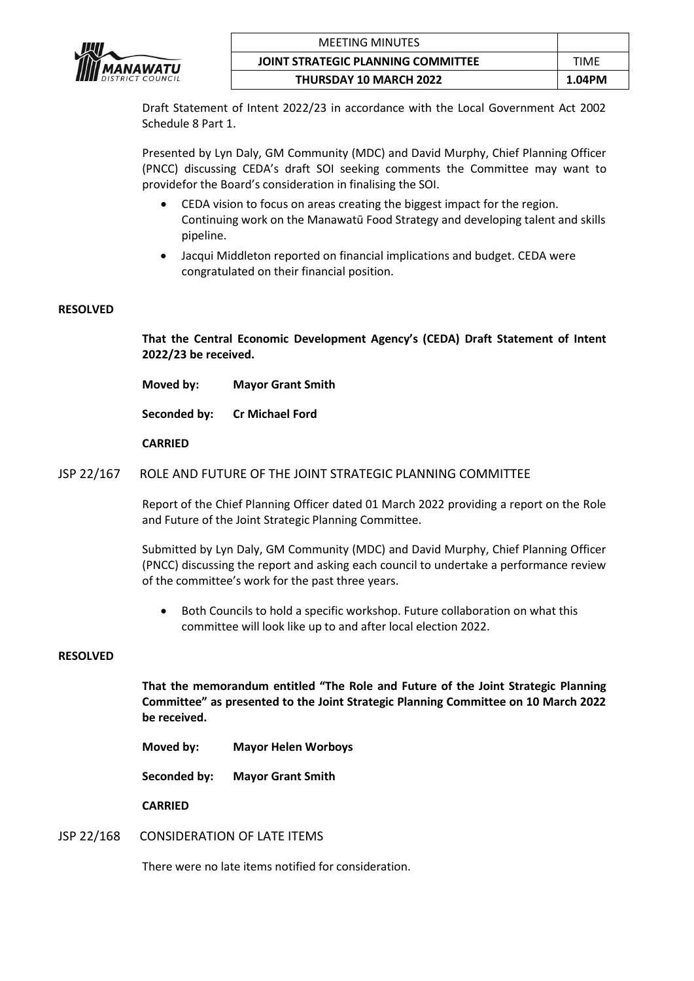

Draft Statement of Intent 2022/23 in accordance with the Local Government Act 2002 Schedule 8 Part 1.

Presented by Lyn Daly, GM Community (MDC) and David Murphy, Chief Planning Officer (PNCC) discussing CEDA's draft SOI seeking comments the Committee may want to providefor the Board's consideration in finalising the SOI.

- CEDA vision to focus on areas creating the biggest impact for the region. Continuing work on the Manawatū Food Strategy and developing talent and skills pipeline.
- Jacqui Middleton reported on financial implications and budget. CEDA were congratulated on their financial position.

### **RESOLVED**

**That the Central Economic Development Agency's (CEDA) Draft Statement of Intent 2022/23 be received.**

**Moved by: Mayor Grant Smith**

**Seconded by: Cr Michael Ford**

**CARRIED**

JSP 22/167 ROLE AND FUTURE OF THE JOINT STRATEGIC PLANNING COMMITTEE

Report of the Chief Planning Officer dated 01 March 2022 providing a report on the Role and Future of the Joint Strategic Planning Committee.

Submitted by Lyn Daly, GM Community (MDC) and David Murphy, Chief Planning Officer (PNCC) discussing the report and asking each council to undertake a performance review of the committee's work for the past three years.

• Both Councils to hold a specific workshop. Future collaboration on what this committee will look like up to and after local election 2022.

## **RESOLVED**

**That the memorandum entitled "The Role and Future of the Joint Strategic Planning Committee" as presented to the Joint Strategic Planning Committee on 10 March 2022 be received.**

**Moved by: Mayor Helen Worboys**

**Seconded by: Mayor Grant Smith**

**CARRIED**

## JSP 22/168 CONSIDERATION OF LATE ITEMS

There were no late items notified for consideration.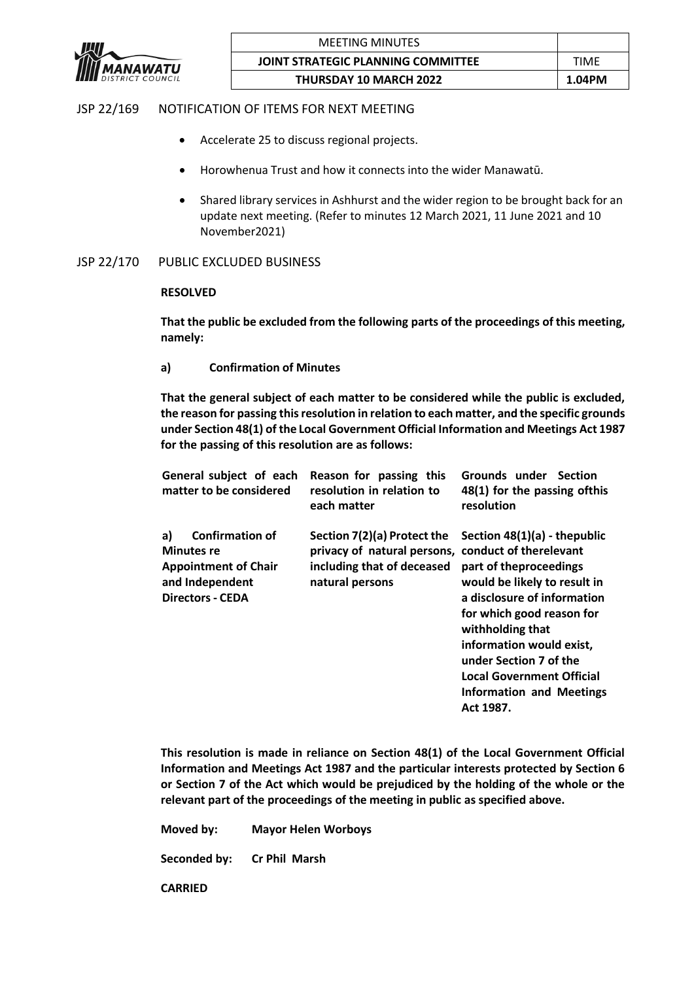

## JSP 22/169 NOTIFICATION OF ITEMS FOR NEXT MEETING

- Accelerate 25 to discuss regional projects.
- Horowhenua Trust and how it connects into the wider Manawatū.
- Shared library services in Ashhurst and the wider region to be brought back for an update next meeting. (Refer to minutes 12 March 2021, 11 June 2021 and 10 November2021)

JSP 22/170 PUBLIC EXCLUDED BUSINESS

### **RESOLVED**

**That the public be excluded from the following parts of the proceedings of this meeting, namely:**

**a) Confirmation of Minutes**

**That the general subject of each matter to be considered while the public is excluded, the reason for passing thisresolution in relation to each matter, and the specific grounds under Section 48(1) of the Local Government Official Information and Meetings Act 1987 for the passing of this resolution are as follows:**

| General subject of each<br>matter to be considered                                                                             | Reason for passing this<br>resolution in relation to<br>each matter                                                                | Grounds under Section<br>48(1) for the passing of this<br>resolution                                                                                                                                                                                                                                               |
|--------------------------------------------------------------------------------------------------------------------------------|------------------------------------------------------------------------------------------------------------------------------------|--------------------------------------------------------------------------------------------------------------------------------------------------------------------------------------------------------------------------------------------------------------------------------------------------------------------|
| <b>Confirmation of</b><br>a)<br><b>Minutes re</b><br><b>Appointment of Chair</b><br>and Independent<br><b>Directors - CEDA</b> | Section 7(2)(a) Protect the<br>privacy of natural persons, conduct of therelevant<br>including that of deceased<br>natural persons | Section $48(1)(a)$ - thepublic<br>part of theproceedings<br>would be likely to result in<br>a disclosure of information<br>for which good reason for<br>withholding that<br>information would exist,<br>under Section 7 of the<br><b>Local Government Official</b><br><b>Information and Meetings</b><br>Act 1987. |

**This resolution is made in reliance on Section 48(1) of the Local Government Official Information and Meetings Act 1987 and the particular interests protected by Section 6 or Section 7 of the Act which would be prejudiced by the holding of the whole or the relevant part of the proceedings of the meeting in public as specified above.**

**Moved by: Mayor Helen Worboys**

**Seconded by: Cr Phil Marsh**

**CARRIED**